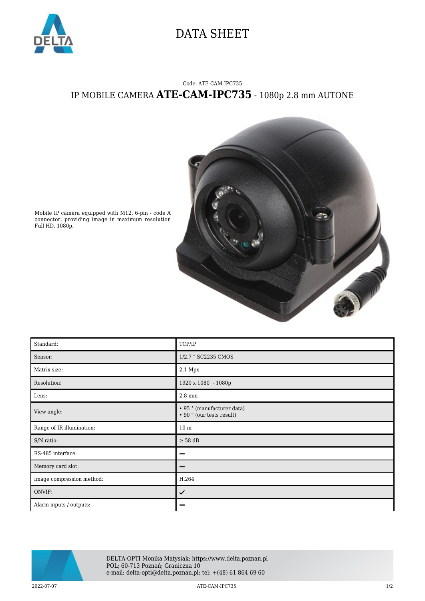

## DATA SHEET

## Code: ATE-CAM-IPC735 IP MOBILE CAMERA **ATE-CAM-IPC735** - 1080p 2.8 mm AUTONE



Mobile IP camera equipped with M12, 6-pin - code A connector, providing image in maximum resolution Full HD, 1080p.

| Standard:                 | TCP/IP                                                  |
|---------------------------|---------------------------------------------------------|
| Sensor:                   | 1/2.7 " SC2235 CMOS                                     |
| Matrix size:              | 2.1 Mpx                                                 |
| Resolution:               | 1920 x 1080 - 1080p                                     |
| Lens:                     | 2.8 mm                                                  |
| View angle:               | • 95 ° (manufacturer data)<br>• 90 ° (our tests result) |
| Range of IR illumination: | 10 <sub>m</sub>                                         |
| S/N ratio:                | $\geq$ 58 dB                                            |
| RS-485 interface:         | -                                                       |
| Memory card slot:         |                                                         |
| Image compression method: | H.264                                                   |
| ONVIF:                    | ✓                                                       |
| Alarm inputs / outputs:   |                                                         |



DELTA-OPTI Monika Matysiak; https://www.delta.poznan.pl POL; 60-713 Poznań; Graniczna 10 e-mail: delta-opti@delta.poznan.pl; tel: +(48) 61 864 69 60